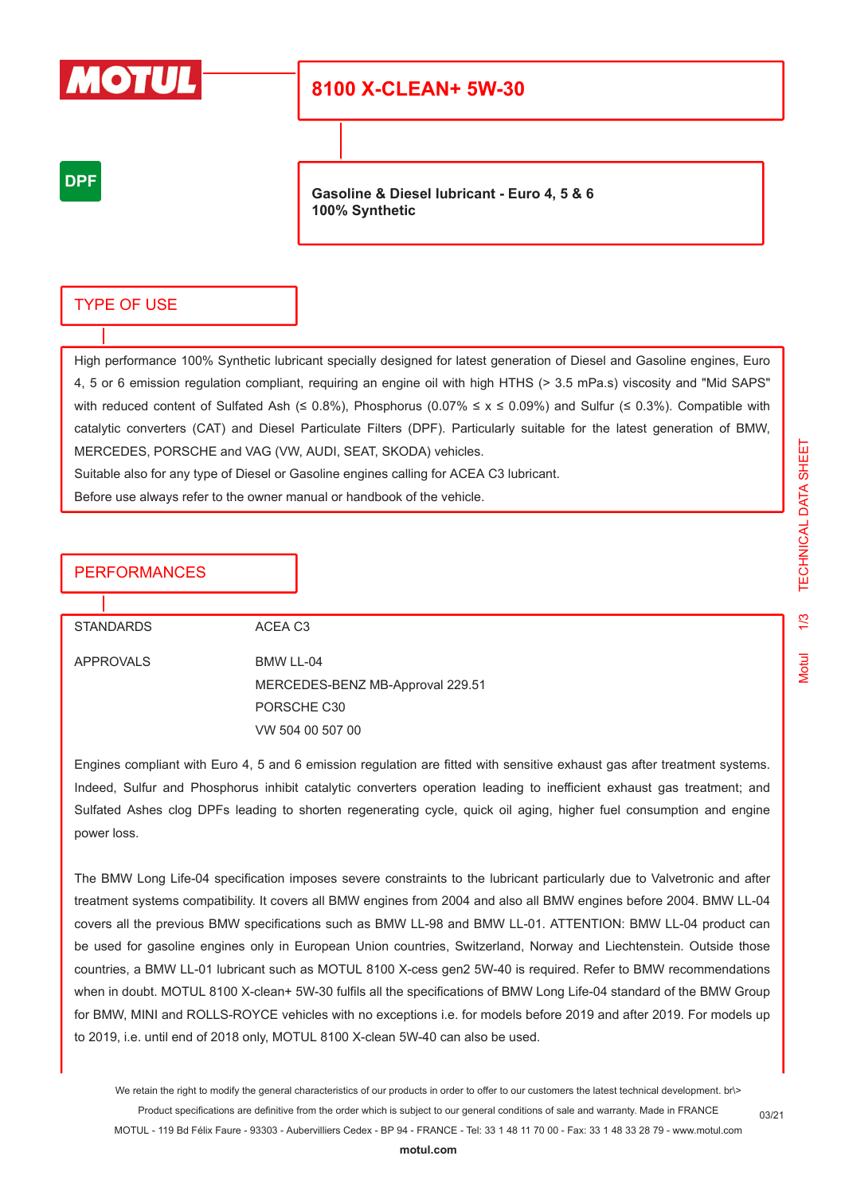

## **8100 X-CLEAN+ 5W-30**

### **DPF**

**Gasoline & Diesel lubricant - Euro 4, 5 & 6 100% Synthetic**

### TYPE OF USE

High performance 100% Synthetic lubricant specially designed for latest generation of Diesel and Gasoline engines, Euro 4, 5 or 6 emission regulation compliant, requiring an engine oil with high HTHS (> 3.5 mPa.s) viscosity and "Mid SAPS" with reduced content of Sulfated Ash ( $\leq 0.8\%$ ), Phosphorus (0.07%  $\leq x \leq 0.09\%$ ) and Sulfur ( $\leq 0.3\%$ ). Compatible with catalytic converters (CAT) and Diesel Particulate Filters (DPF). Particularly suitable for the latest generation of BMW, MERCEDES, PORSCHE and VAG (VW, AUDI, SEAT, SKODA) vehicles.

Suitable also for any type of Diesel or Gasoline engines calling for ACEA C3 lubricant.

Before use always refer to the owner manual or handbook of the vehicle.

### **PERFORMANCES**

STANDARDS ACEA C3

APPROVALS BMW LL-04

MERCEDES-BENZ MB-Approval 229.51 PORSCHE C30 VW 504 00 507 00

Engines compliant with Euro 4, 5 and 6 emission regulation are fitted with sensitive exhaust gas after treatment systems. Indeed, Sulfur and Phosphorus inhibit catalytic converters operation leading to inefficient exhaust gas treatment; and Sulfated Ashes clog DPFs leading to shorten regenerating cycle, quick oil aging, higher fuel consumption and engine power loss.

The BMW Long Life-04 specification imposes severe constraints to the lubricant particularly due to Valvetronic and after treatment systems compatibility. It covers all BMW engines from 2004 and also all BMW engines before 2004. BMW LL-04 covers all the previous BMW specifications such as BMW LL-98 and BMW LL-01. ATTENTION: BMW LL-04 product can be used for gasoline engines only in European Union countries, Switzerland, Norway and Liechtenstein. Outside those countries, a BMW LL-01 lubricant such as MOTUL 8100 X-cess gen2 5W-40 is required. Refer to BMW recommendations when in doubt. MOTUL 8100 X-clean+ 5W-30 fulfils all the specifications of BMW Long Life-04 standard of the BMW Group for BMW, MINI and ROLLS-ROYCE vehicles with no exceptions i.e. for models before 2019 and after 2019. For models up to 2019, i.e. until end of 2018 only, MOTUL 8100 X-clean 5W-40 can also be used.

We retain the right to modify the general characteristics of our products in order to offer to our customers the latest technical development. br\> Product specifications are definitive from the order which is subject to our general conditions of sale and warranty. Made in FRANCE MOTUL - 119 Bd Félix Faure - 93303 - Aubervilliers Cedex - BP 94 - FRANCE - Tel: 33 1 48 11 70 00 - Fax: 33 1 48 33 28 79 - www.motul.com

03/21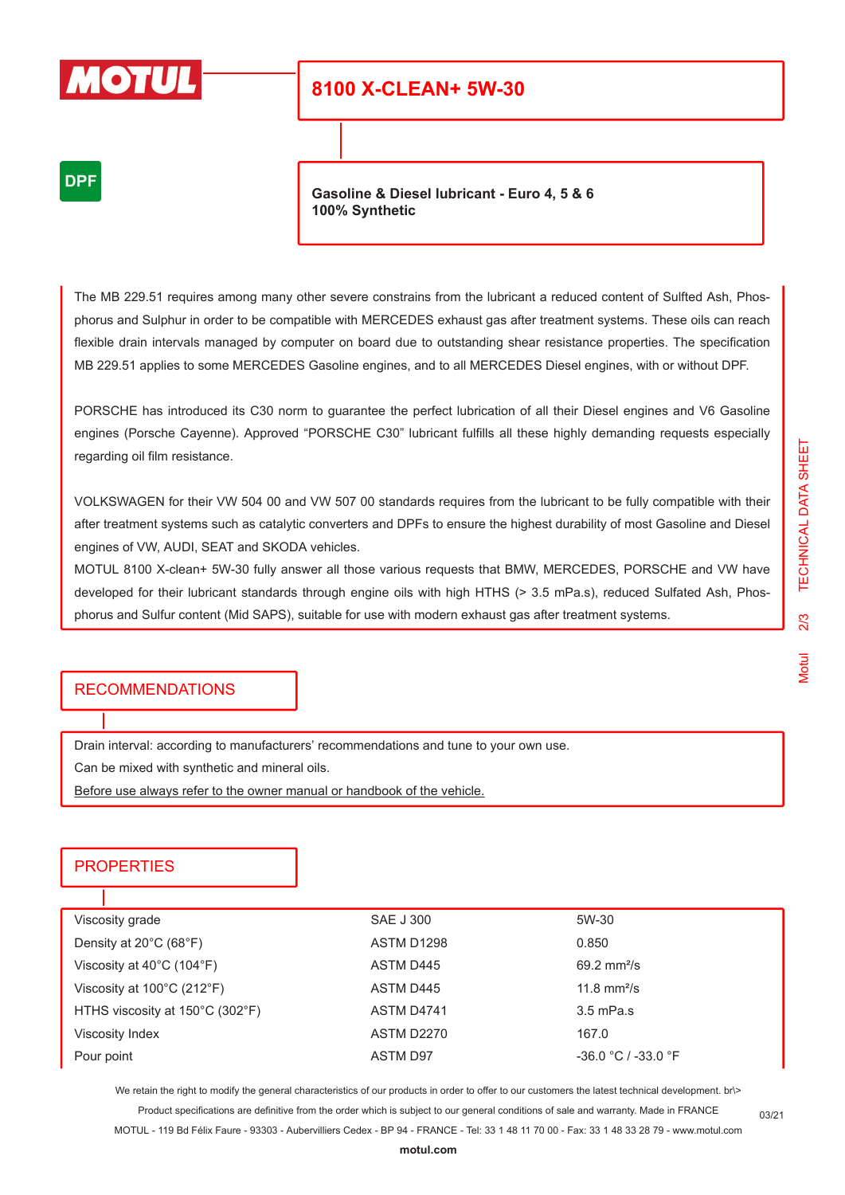

# **8100 X-CLEAN+ 5W-30**

**DPF** 

**Gasoline & Diesel lubricant - Euro 4, 5 & 6 100% Synthetic**

The MB 229.51 requires among many other severe constrains from the lubricant a reduced content of Sulfted Ash, Phosphorus and Sulphur in order to be compatible with MERCEDES exhaust gas after treatment systems. These oils can reach flexible drain intervals managed by computer on board due to outstanding shear resistance properties. The specification MB 229.51 applies to some MERCEDES Gasoline engines, and to all MERCEDES Diesel engines, with or without DPF.

PORSCHE has introduced its C30 norm to guarantee the perfect lubrication of all their Diesel engines and V6 Gasoline engines (Porsche Cayenne). Approved "PORSCHE C30" lubricant fulfills all these highly demanding requests especially regarding oil film resistance.

VOLKSWAGEN for their VW 504 00 and VW 507 00 standards requires from the lubricant to be fully compatible with their after treatment systems such as catalytic converters and DPFs to ensure the highest durability of most Gasoline and Diesel engines of VW, AUDI, SEAT and SKODA vehicles.

MOTUL 8100 X-clean+ 5W-30 fully answer all those various requests that BMW, MERCEDES, PORSCHE and VW have developed for their lubricant standards through engine oils with high HTHS (> 3.5 mPa.s), reduced Sulfated Ash, Phosphorus and Sulfur content (Mid SAPS), suitable for use with modern exhaust gas after treatment systems.

### RECOMMENDATIONS

Drain interval: according to manufacturers' recommendations and tune to your own use.

Can be mixed with synthetic and mineral oils.

Before use always refer to the owner manual or handbook of the vehicle.

### **PROPERTIES**

| Viscosity grade                                      | <b>SAE J 300</b>  | 5W-30                        |  |
|------------------------------------------------------|-------------------|------------------------------|--|
| Density at $20^{\circ}$ C (68 $^{\circ}$ F)          | ASTM D1298        | 0.850                        |  |
| Viscosity at $40^{\circ}$ C (104 $^{\circ}$ F)       | ASTM D445         | $69.2 \text{ mm}^2/\text{s}$ |  |
| Viscosity at 100°C (212°F)                           | ASTM D445         | 11.8 $mm^2/s$                |  |
| HTHS viscosity at $150^{\circ}$ C (302 $^{\circ}$ F) | ASTM D4741        | $3.5$ mPa.s                  |  |
| Viscosity Index                                      | <b>ASTM D2270</b> | 167.0                        |  |
| Pour point                                           | ASTM D97          | $-36.0 °C / -33.0 °F$        |  |

We retain the right to modify the general characteristics of our products in order to offer to our customers the latest technical development. br\> Product specifications are definitive from the order which is subject to our general conditions of sale and warranty. Made in FRANCE

MOTUL - 119 Bd Félix Faure - 93303 - Aubervilliers Cedex - BP 94 - FRANCE - Tel: 33 1 48 11 70 00 - Fax: 33 1 48 33 28 79 - www.motul.com

03/21